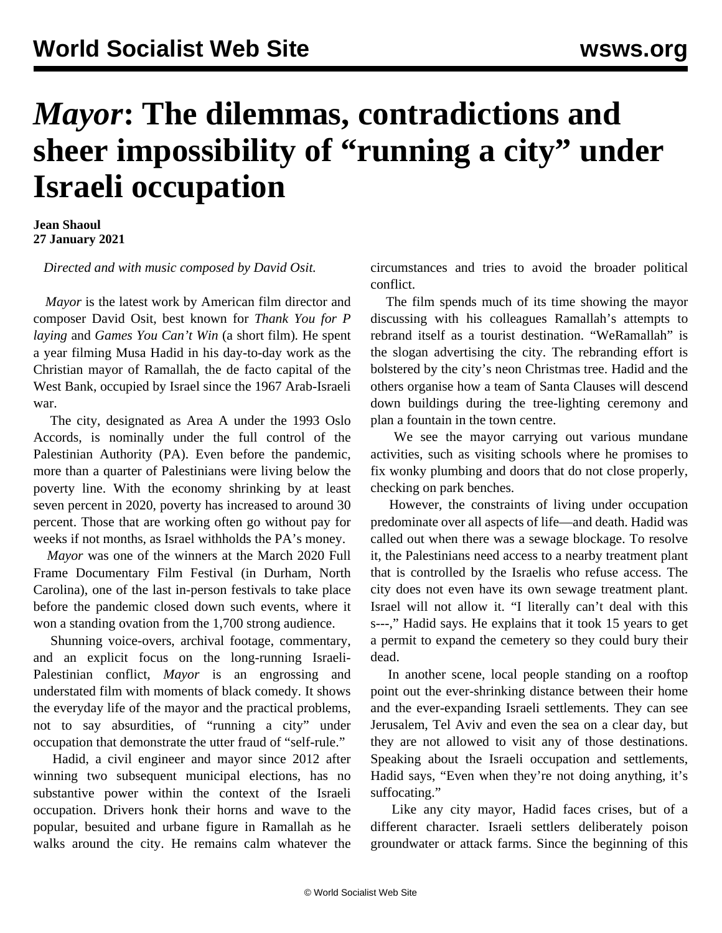## *Mayor***: The dilemmas, contradictions and sheer impossibility of "running a city" under Israeli occupation**

**Jean Shaoul 27 January 2021**

*Directed and with music composed by David Osit.*

 *Mayor* is the latest work by American film director and composer David Osit, best known for *Thank You for P laying* and *Games You Can't Win* (a short film)*.* He spent a year filming Musa Hadid in his day-to-day work as the Christian mayor of Ramallah, the de facto capital of the West Bank, occupied by Israel since the 1967 Arab-Israeli war.

 The city, designated as Area A under the 1993 Oslo Accords, is nominally under the full control of the Palestinian Authority (PA). Even before the pandemic, more than a quarter of Palestinians were living below the poverty line. With the economy shrinking by at least seven percent in 2020, poverty has increased to around 30 percent. Those that are working often go without pay for weeks if not months, as Israel withholds the PA's money.

 *Mayor* was one of the winners at the March 2020 Full Frame Documentary Film Festival (in Durham, North Carolina), one of the last in-person festivals to take place before the pandemic closed down such events, where it won a standing ovation from the 1,700 strong audience.

 Shunning voice-overs, archival footage, commentary, and an explicit focus on the long-running Israeli-Palestinian conflict, *Mayor* is an engrossing and understated film with moments of black comedy. It shows the everyday life of the mayor and the practical problems, not to say absurdities, of "running a city" under occupation that demonstrate the utter fraud of "self-rule."

 Hadid, a civil engineer and mayor since 2012 after winning two subsequent municipal elections, has no substantive power within the context of the Israeli occupation. Drivers honk their horns and wave to the popular, besuited and urbane figure in Ramallah as he walks around the city. He remains calm whatever the

circumstances and tries to avoid the broader political conflict.

 The film spends much of its time showing the mayor discussing with his colleagues Ramallah's attempts to rebrand itself as a tourist destination. "WeRamallah" is the slogan advertising the city. The rebranding effort is bolstered by the city's neon Christmas tree. Hadid and the others organise how a team of Santa Clauses will descend down buildings during the tree-lighting ceremony and plan a fountain in the town centre.

 We see the mayor carrying out various mundane activities, such as visiting schools where he promises to fix wonky plumbing and doors that do not close properly, checking on park benches.

 However, the constraints of living under occupation predominate over all aspects of life—and death. Hadid was called out when there was a sewage blockage. To resolve it, the Palestinians need access to a nearby treatment plant that is controlled by the Israelis who refuse access. The city does not even have its own sewage treatment plant. Israel will not allow it. "I literally can't deal with this s---," Hadid says. He explains that it took 15 years to get a permit to expand the cemetery so they could bury their dead.

 In another scene, local people standing on a rooftop point out the ever-shrinking distance between their home and the ever-expanding Israeli settlements. They can see Jerusalem, Tel Aviv and even the sea on a clear day, but they are not allowed to visit any of those destinations. Speaking about the Israeli occupation and settlements, Hadid says, "Even when they're not doing anything, it's suffocating."

 Like any city mayor, Hadid faces crises, but of a different character. Israeli settlers deliberately poison groundwater or attack farms. Since the beginning of this